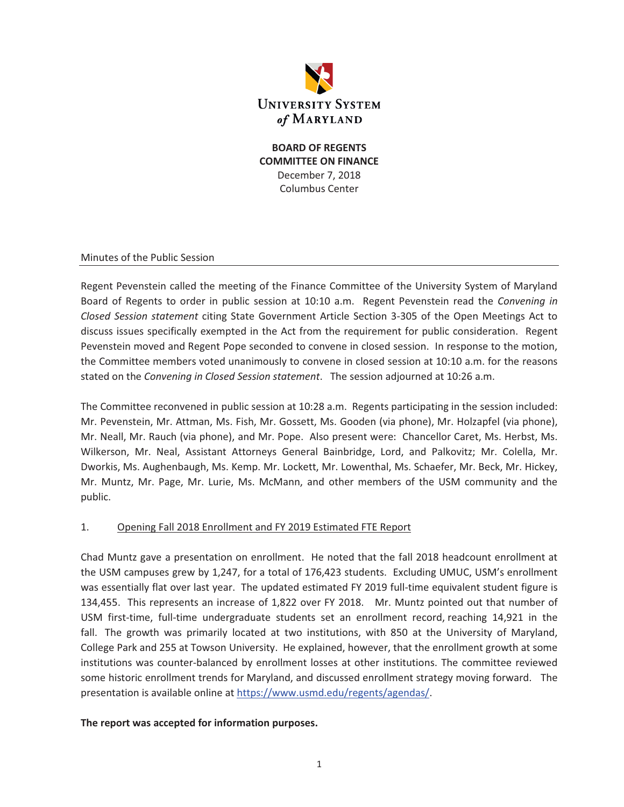

### **BOARD OF REGENTS COMMITTEE ON FINANCE**  December 7, 2018 Columbus Center

#### Minutes of the Public Session

Regent Pevenstein called the meeting of the Finance Committee of the University System of Maryland Board of Regents to order in public session at 10:10 a.m. Regent Pevenstein read the *Convening in Closed Session statement* citing State Government Article Section 3-305 of the Open Meetings Act to discuss issues specifically exempted in the Act from the requirement for public consideration. Regent Pevenstein moved and Regent Pope seconded to convene in closed session. In response to the motion, the Committee members voted unanimously to convene in closed session at 10:10 a.m. for the reasons stated on the *Convening in Closed Session statement*. The session adjourned at 10:26 a.m.

The Committee reconvened in public session at 10:28 a.m. Regents participating in the session included: Mr. Pevenstein, Mr. Attman, Ms. Fish, Mr. Gossett, Ms. Gooden (via phone), Mr. Holzapfel (via phone), Mr. Neall, Mr. Rauch (via phone), and Mr. Pope. Also present were: Chancellor Caret, Ms. Herbst, Ms. Wilkerson, Mr. Neal, Assistant Attorneys General Bainbridge, Lord, and Palkovitz; Mr. Colella, Mr. Dworkis, Ms. Aughenbaugh, Ms. Kemp. Mr. Lockett, Mr. Lowenthal, Ms. Schaefer, Mr. Beck, Mr. Hickey, Mr. Muntz, Mr. Page, Mr. Lurie, Ms. McMann, and other members of the USM community and the public.

### 1. Opening Fall 2018 Enrollment and FY 2019 Estimated FTE Report

Chad Muntz gave a presentation on enrollment. He noted that the fall 2018 headcount enrollment at the USM campuses grew by 1,247, for a total of 176,423 students. Excluding UMUC, USM's enrollment was essentially flat over last year. The updated estimated FY 2019 full-time equivalent student figure is 134,455. This represents an increase of 1,822 over FY 2018. Mr. Muntz pointed out that number of USM first-time, full-time undergraduate students set an enrollment record, reaching 14,921 in the fall. The growth was primarily located at two institutions, with 850 at the University of Maryland, College Park and 255 at Towson University. He explained, however, that the enrollment growth at some institutions was counter-balanced by enrollment losses at other institutions. The committee reviewed some historic enrollment trends for Maryland, and discussed enrollment strategy moving forward. The presentation is available online at https://www.usmd.edu/regents/agendas/.

### **The report was accepted for information purposes.**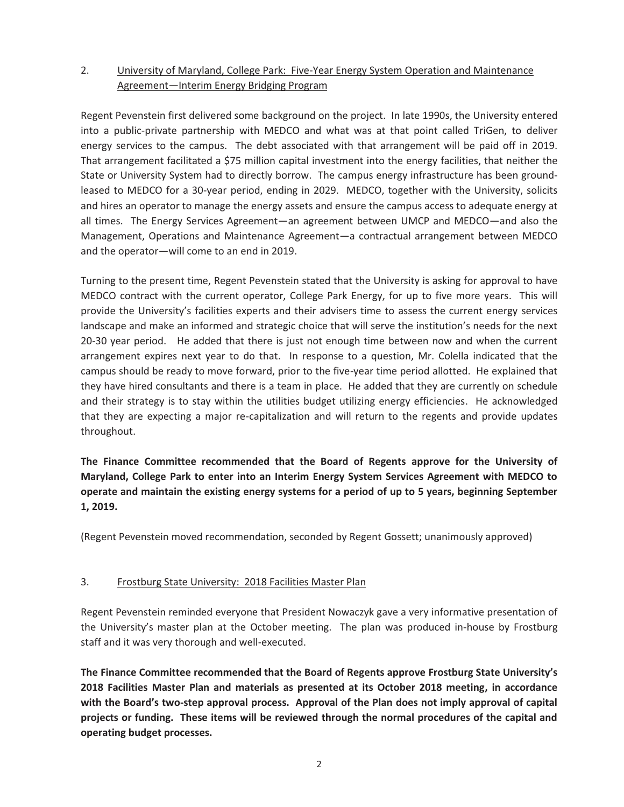# 2. University of Maryland, College Park: Five-Year Energy System Operation and Maintenance Agreement—Interim Energy Bridging Program

Regent Pevenstein first delivered some background on the project. In late 1990s, the University entered into a public-private partnership with MEDCO and what was at that point called TriGen, to deliver energy services to the campus. The debt associated with that arrangement will be paid off in 2019. That arrangement facilitated a \$75 million capital investment into the energy facilities, that neither the State or University System had to directly borrow. The campus energy infrastructure has been groundleased to MEDCO for a 30-year period, ending in 2029. MEDCO, together with the University, solicits and hires an operator to manage the energy assets and ensure the campus access to adequate energy at all times. The Energy Services Agreement—an agreement between UMCP and MEDCO—and also the Management, Operations and Maintenance Agreement—a contractual arrangement between MEDCO and the operator—will come to an end in 2019.

Turning to the present time, Regent Pevenstein stated that the University is asking for approval to have MEDCO contract with the current operator, College Park Energy, for up to five more years. This will provide the University's facilities experts and their advisers time to assess the current energy services landscape and make an informed and strategic choice that will serve the institution's needs for the next 20-30 year period. He added that there is just not enough time between now and when the current arrangement expires next year to do that. In response to a question, Mr. Colella indicated that the campus should be ready to move forward, prior to the five-year time period allotted. He explained that they have hired consultants and there is a team in place. He added that they are currently on schedule and their strategy is to stay within the utilities budget utilizing energy efficiencies. He acknowledged that they are expecting a major re-capitalization and will return to the regents and provide updates throughout.

**The Finance Committee recommended that the Board of Regents approve for the University of Maryland, College Park to enter into an Interim Energy System Services Agreement with MEDCO to operate and maintain the existing energy systems for a period of up to 5 years, beginning September 1, 2019.** 

(Regent Pevenstein moved recommendation, seconded by Regent Gossett; unanimously approved)

### 3. Frostburg State University: 2018 Facilities Master Plan

Regent Pevenstein reminded everyone that President Nowaczyk gave a very informative presentation of the University's master plan at the October meeting. The plan was produced in-house by Frostburg staff and it was very thorough and well-executed.

**The Finance Committee recommended that the Board of Regents approve Frostburg State University's 2018 Facilities Master Plan and materials as presented at its October 2018 meeting, in accordance with the Board's two-step approval process. Approval of the Plan does not imply approval of capital projects or funding. These items will be reviewed through the normal procedures of the capital and operating budget processes.**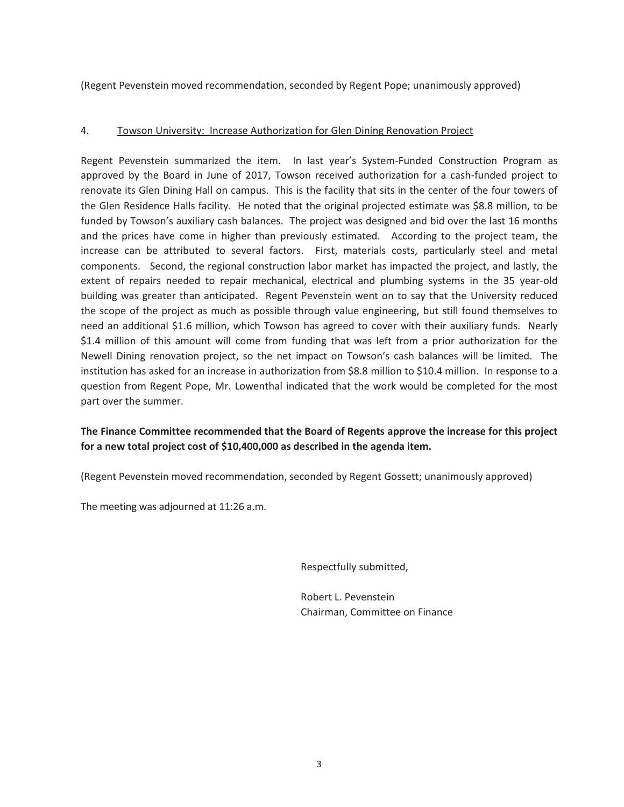(Regent Pevenstein moved recommendation, seconded by Regent Pope; unanimously approved)

### 4. Towson University: Increase Authorization for Glen Dining Renovation Project

Regent Pevenstein summarized the item. In last year's System-Funded Construction Program as approved by the Board in June of 2017, Towson received authorization for a cash-funded project to renovate its Glen Dining Hall on campus. This is the facility that sits in the center of the four towers of the Glen Residence Halls facility. He noted that the original projected estimate was \$8.8 million, to be funded by Towson's auxiliary cash balances. The project was designed and bid over the last 16 months and the prices have come in higher than previously estimated. According to the project team, the increase can be attributed to several factors. First, materials costs, particularly steel and metal components. Second, the regional construction labor market has impacted the project, and lastly, the extent of repairs needed to repair mechanical, electrical and plumbing systems in the 35 year-old building was greater than anticipated. Regent Pevenstein went on to say that the University reduced the scope of the project as much as possible through value engineering, but still found themselves to need an additional \$1.6 million, which Towson has agreed to cover with their auxiliary funds. Nearly \$1.4 million of this amount will come from funding that was left from a prior authorization for the Newell Dining renovation project, so the net impact on Towson's cash balances will be limited. The institution has asked for an increase in authorization from \$8.8 million to \$10.4 million. In response to a question from Regent Pope, Mr. Lowenthal indicated that the work would be completed for the most part over the summer.

# **The Finance Committee recommended that the Board of Regents approve the increase for this project for a new total project cost of \$10,400,000 as described in the agenda item.**

(Regent Pevenstein moved recommendation, seconded by Regent Gossett; unanimously approved)

The meeting was adjourned at 11:26 a.m.

Respectfully submitted,

 Robert L. Pevenstein Chairman, Committee on Finance